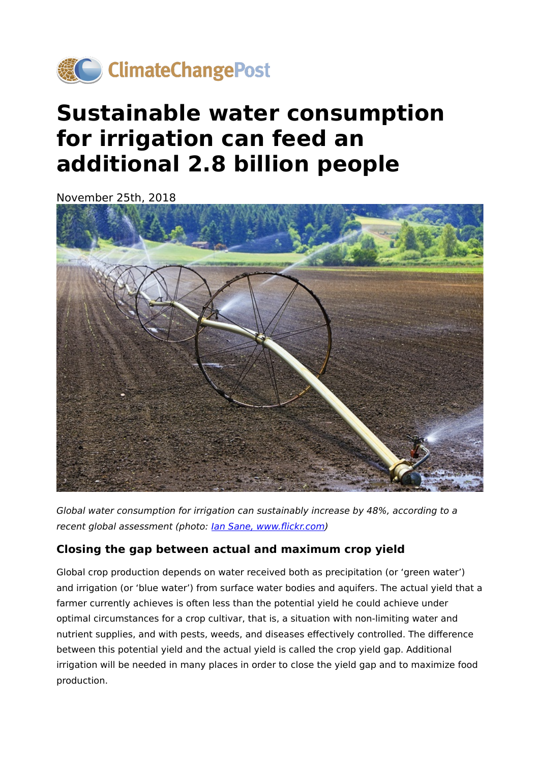

# **Sustainable water consumption for irrigation can feed an additional 2.8 billion people**

November 25th, 2018



Global water consumption for irrigation can sustainably increase by 48%, according to a recent global assessment (photo: [Ian Sane, www.](https://www.flickr.com/photos/31246066@N04/14138329767/in/photolist-nxmCSk-aqaGe5-4zg6u8-bxz8oU-X7g6UH-ocazqU-2cKjvDe-pbk41S-dnBNF6-TrkufN-cCNcs5-4DH8ST-ohJxL6-UVv6KC-byMRbt-8r5Bmu-NjqJ2Q-9hJYFr-9QDjku-ega3T4-dYzYz8-wvt7h9-9Bs1b6-GEmmy-24iJ9TC-4RT2zj-WyTJmZ-9BhGhj-5hB4XD-CynwVx-azAqrp-9B1RX5-au9Y3X-2bP5iP7-gWAaz3-nzbYQY-9o2QzY-9x9Ybf-9mxitu-TnszZ3-n2CiLE-k5LZRT-n4nU3-VJC2aY-bxhrvp-9yrJpi-9hFkp7-7fA7mD-8BnnJp-9B9ZYN)flickr.com)

## **Closing the gap between actual and maximum crop yield**

Global crop production depends on water received both as precipitation (or 'green water') and irrigation (or 'blue water') from surface water bodies and aquifers. The actual yield that a farmer currently achieves is often less than the potential yield he could achieve under optimal circumstances for a crop cultivar, that is, a situation with non-limiting water and nutrient supplies, and with pests, weeds, and diseases effectively controlled. The difference between this potential yield and the actual yield is called the crop yield gap. Additional irrigation will be needed in many places in order to close the yield gap and to maximize food production.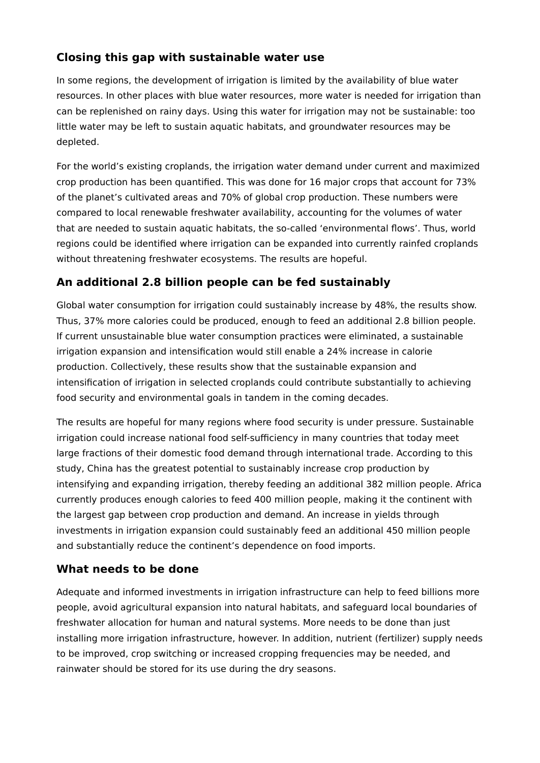## **Closing this gap with sustainable water use**

In some regions, the development of irrigation is limited by the availability of blue water resources. In other places with blue water resources, more water is needed for irrigation than can be replenished on rainy days. Using this water for irrigation may not be sustainable: too little water may be left to sustain aquatic habitats, and groundwater resources may be depleted.

For the world's existing croplands, the irrigation water demand under current and maximized crop production has been quantified. This was done for 16 major crops that account for 73% of the planet's cultivated areas and 70% of global crop production. These numbers were compared to local renewable freshwater availability, accounting for the volumes of water that are needed to sustain aquatic habitats, the so-called 'environmental flows'. Thus, world regions could be identified where irrigation can be expanded into currently rainfed croplands without threatening freshwater ecosystems. The results are hopeful.

## **An additional 2.8 billion people can be fed sustainably**

Global water consumption for irrigation could sustainably increase by 48%, the results show. Thus, 37% more calories could be produced, enough to feed an additional 2.8 billion people. If current unsustainable blue water consumption practices were eliminated, a sustainable irrigation expansion and intensification would still enable a 24% increase in calorie production. Collectively, these results show that the sustainable expansion and intensification of irrigation in selected croplands could contribute substantially to achieving food security and environmental goals in tandem in the coming decades.

The results are hopeful for many regions where food security is under pressure. Sustainable irrigation could increase national food self-sufficiency in many countries that today meet large fractions of their domestic food demand through international trade. According to this study, China has the greatest potential to sustainably increase crop production by intensifying and expanding irrigation, thereby feeding an additional 382 million people. Africa currently produces enough calories to feed 400 million people, making it the continent with the largest gap between crop production and demand. An increase in yields through investments in irrigation expansion could sustainably feed an additional 450 million people and substantially reduce the continent's dependence on food imports.

## **What needs to be done**

Adequate and informed investments in irrigation infrastructure can help to feed billions more people, avoid agricultural expansion into natural habitats, and safeguard local boundaries of freshwater allocation for human and natural systems. More needs to be done than just installing more irrigation infrastructure, however. In addition, nutrient (fertilizer) supply needs to be improved, crop switching or increased cropping frequencies may be needed, and rainwater should be stored for its use during the dry seasons.